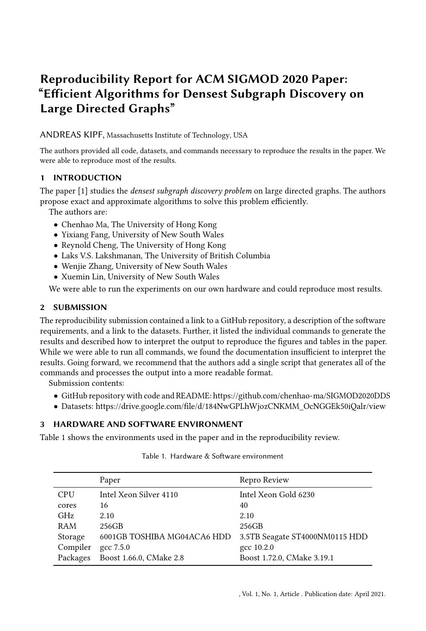# Reproducibility Report for ACM SIGMOD 2020 Paper: "Efficient Algorithms for Densest Subgraph Discovery on Large Directed Graphs"

ANDREAS KIPF, Massachusetts Institute of Technology, USA

The authors provided all code, datasets, and commands necessary to reproduce the results in the paper. We were able to reproduce most of the results.

# 1 INTRODUCTION

The paper [\[1\]](#page-1-0) studies the *densest subgraph discovery problem* on large directed graphs. The authors propose exact and approximate algorithms to solve this problem efficiently.

The authors are:

- Chenhao Ma, The University of Hong Kong
- Yixiang Fang, University of New South Wales
- Reynold Cheng, The University of Hong Kong
- Laks V.S. Lakshmanan, The University of British Columbia
- Wenjie Zhang, University of New South Wales
- Xuemin Lin, University of New South Wales

We were able to run the experiments on our own hardware and could reproduce most results.

# 2 SUBMISSION

The reproducibility submission contained a link to a GitHub repository, a description of the software requirements, and a link to the datasets. Further, it listed the individual commands to generate the results and described how to interpret the output to reproduce the figures and tables in the paper. While we were able to run all commands, we found the documentation insufficient to interpret the results. Going forward, we recommend that the authors add a single script that generates all of the commands and processes the output into a more readable format.

Submission contents:

- GitHub repository with code and README:<https://github.com/chenhao-ma/SIGMOD2020DDS>
- Datasets: [https://drive.google.com/file/d/184NwGPLhWjozCNKMM\\_OcNGGEk50iQalr/view](https://drive.google.com/file/d/184NwGPLhWjozCNKMM_OcNGGEk50iQalr/view)

# 3 HARDWARE AND SOFTWARE ENVIRONMENT

<span id="page-0-0"></span>Table [1](#page-0-0) shows the environments used in the paper and in the reproducibility review.

|            | Paper                       | Repro Review                   |
|------------|-----------------------------|--------------------------------|
| <b>CPU</b> | Intel Xeon Silver 4110      | Intel Xeon Gold 6230           |
| cores      | 16                          | 40                             |
| <b>GHz</b> | 2.10                        | 2.10                           |
| RAM        | 256GB                       | 256GB                          |
| Storage    | 6001GB TOSHIBA MG04ACA6 HDD | 3.5TB Seagate ST4000NM0115 HDD |
| Compiler   | gcc 7.5.0                   | gcc 10.2.0                     |
| Packages   | Boost 1.66.0, CMake 2.8     | Boost 1.72.0, CMake 3.19.1     |

Table 1. Hardware & Software environment